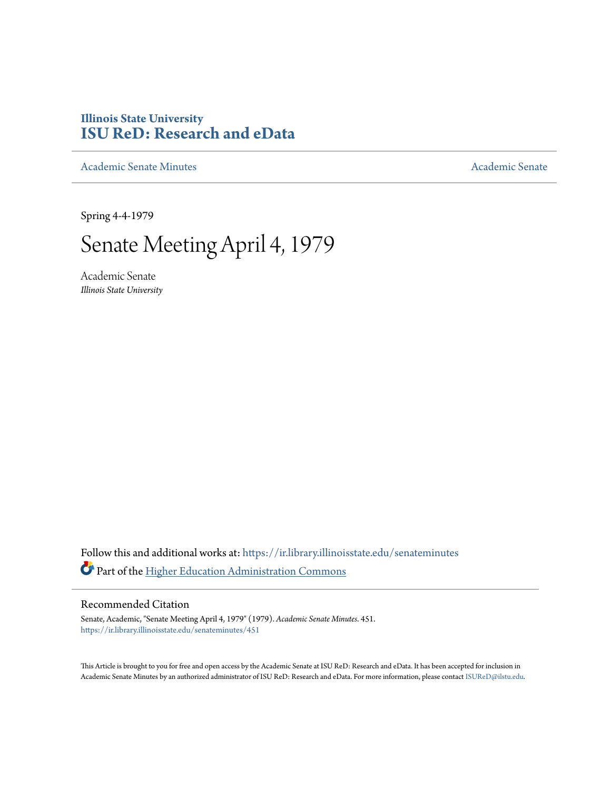### **Illinois State University [ISU ReD: Research and eData](https://ir.library.illinoisstate.edu?utm_source=ir.library.illinoisstate.edu%2Fsenateminutes%2F451&utm_medium=PDF&utm_campaign=PDFCoverPages)**

[Academic Senate Minutes](https://ir.library.illinoisstate.edu/senateminutes?utm_source=ir.library.illinoisstate.edu%2Fsenateminutes%2F451&utm_medium=PDF&utm_campaign=PDFCoverPages) [Academic Senate](https://ir.library.illinoisstate.edu/senate?utm_source=ir.library.illinoisstate.edu%2Fsenateminutes%2F451&utm_medium=PDF&utm_campaign=PDFCoverPages) Academic Senate

Spring 4-4-1979

## Senate Meeting April 4, 1979

Academic Senate *Illinois State University*

Follow this and additional works at: [https://ir.library.illinoisstate.edu/senateminutes](https://ir.library.illinoisstate.edu/senateminutes?utm_source=ir.library.illinoisstate.edu%2Fsenateminutes%2F451&utm_medium=PDF&utm_campaign=PDFCoverPages) Part of the [Higher Education Administration Commons](http://network.bepress.com/hgg/discipline/791?utm_source=ir.library.illinoisstate.edu%2Fsenateminutes%2F451&utm_medium=PDF&utm_campaign=PDFCoverPages)

#### Recommended Citation

Senate, Academic, "Senate Meeting April 4, 1979" (1979). *Academic Senate Minutes*. 451. [https://ir.library.illinoisstate.edu/senateminutes/451](https://ir.library.illinoisstate.edu/senateminutes/451?utm_source=ir.library.illinoisstate.edu%2Fsenateminutes%2F451&utm_medium=PDF&utm_campaign=PDFCoverPages)

This Article is brought to you for free and open access by the Academic Senate at ISU ReD: Research and eData. It has been accepted for inclusion in Academic Senate Minutes by an authorized administrator of ISU ReD: Research and eData. For more information, please contact [ISUReD@ilstu.edu.](mailto:ISUReD@ilstu.edu)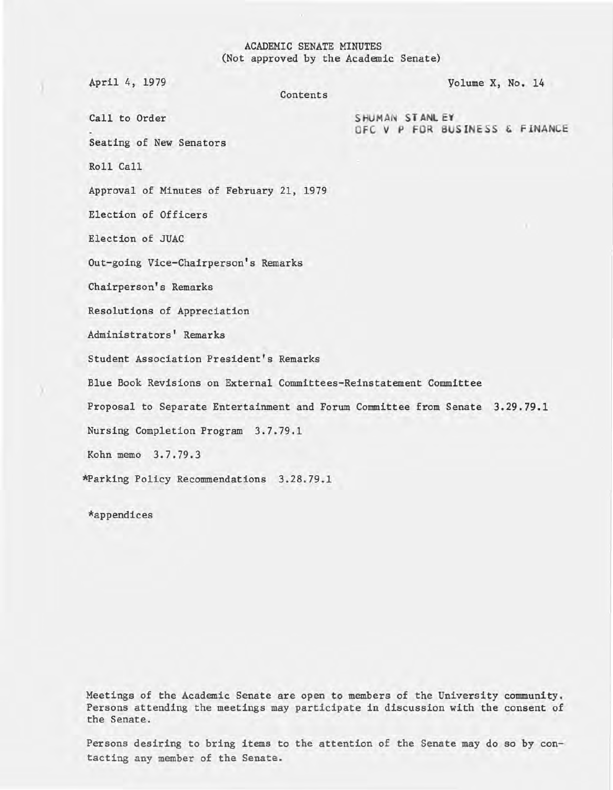#### ACADEMIC SENATE MINUTES (Not approved by the Academic Senate)

Contents

April 4, 1979 Volume X, No. 14

Call to Order SHUMAN STANLEY OFC V P FOR BUSINESS & FINANCE

Seating of New Senators

Roll Call

Approval of Minutes of February 21, 1979

Election of Officers

Election of JUAC

Out-going Vice-Chairperson's Remarks

Chairperson's Remarks

Resolutions of Appreciation

Administrators' Remarks

Student Association President's Remarks

Blue Book Revisions on External Committees-Reinstatement Committee

Proposal to Separate Entertainment and Forum Committee from Senate 3.29.79.1

Nursing Completion Program 3.7.79.1

Kohn memo 3.7.79.3

\*Parking Policy Recommendations 3.28.79.1

\*appendices

Meetings of the Academic Senate are open to members of the University community. Persons attending the meetings may participate in discussion with the consent of the Senate.

Persons desiring to bring items to the attention of the Senate may do so by contacting any member of the Senate.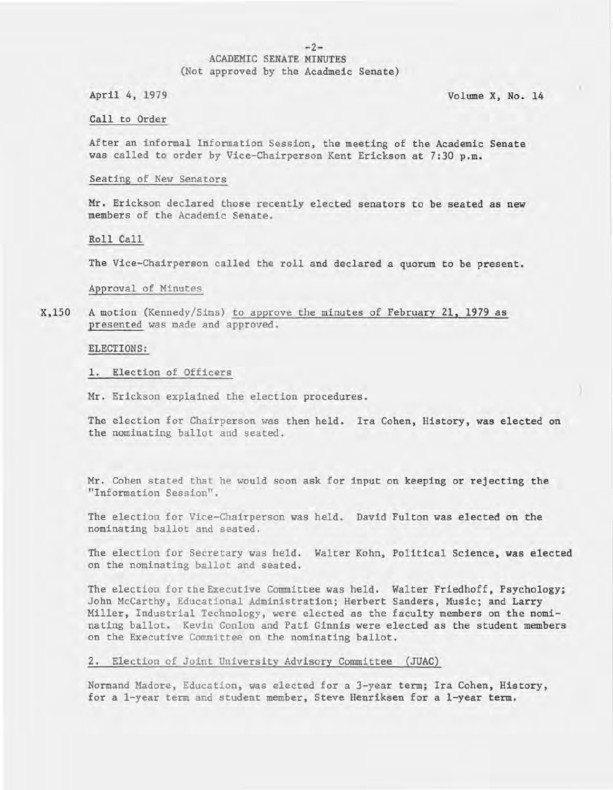#### $-2-$

#### ACADEMIC SENATE MINUTES (Not approved by the Acadmeic Senate)

April 4, 1979

Volume X, No. 14

Call to Order

After an informal Information Session, the meeting of the Academic Senate was called to order by Vice-Chairperson Kent Erickson at 7:30 p.m.

#### Seating of New Senators

Mr. Erickson declared those recently elected senators to be seated as new members of the Academic Senate.

Roll Call

The Vice-Chairperson called the roll and declared a quorum to be present.

Approval of Minutes

X,150 A motion (Kennedy/Sims) to approve the minutes of February 21, 1979 as presented was made and approved.

ELECTIONS :

1. Election of Officers

Mr. Erickson explained the election procedures.

The election for Chairperson was then held. Ira Cohen, History, was elected on the nominating ballot and seated.

Mr. Cohen stated that he would soon ask for input on keeping or rejecting the "Information Session".

The election for Vice-Chairperson was held. David Fulton was elected on the nominating ballot and seated.

The election for Secretary was held. Walter Kohn, Political Science, was elected on the nominating ballot and seated.

The election for the Executive Committee was held. Walter Friedhoff, Psychology; John McCarthy, Educational Administration; Herbert Sanders, Music; and Larry Miller, Industrial Technology, were elected as the faculty members on the nominating ballot. Kevin Conlon and Pati Ginnis were elected as the student members on the Executive Committee on the nominating ballot.

2. Election of Joint University Advisory Committee (JUAC)

Normand Madore, Education, was elected for a 3-year term; Ira Cohen, History, for a l-year term and student member; Steve Henriksen for a l-year term.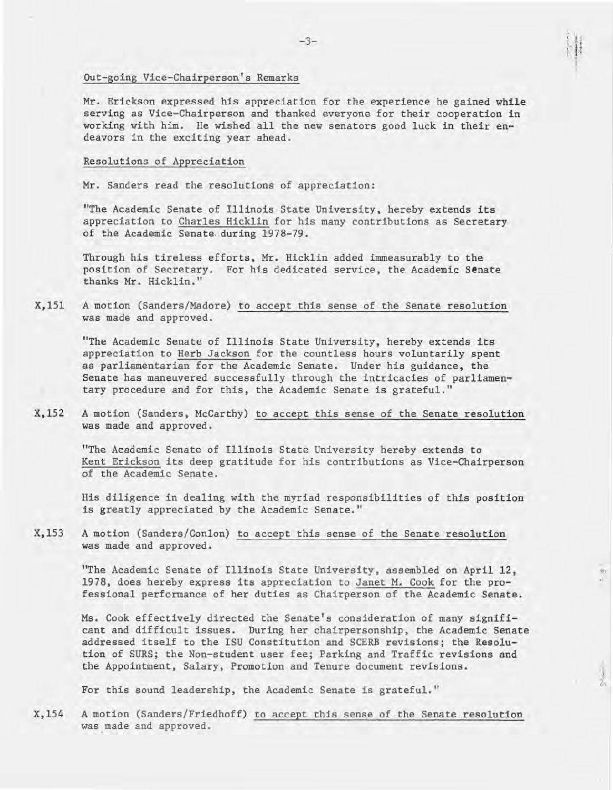#### Out-going Vice-Chairperson's Remarks

Mr. Erickson expressed his appreciation for the experience he gained while serving as Vice-Chairperson and thanked everyone for their cooperation in working with him. He wished all the new senators good luck in their endeavors in the exciting year ahead.

#### Resolutions of Appreciation

Mr. Sanders read the resolutions of appreciation:

"The Academic Senate of Illinois State University, hereby extends its appreciation to Charles Hicklin for his many contributions as Secretary of the Academic Senate during 1978-79.

Through his tireless efforts, Mr. Hicklin added immeasurably to the position of Secretary. For his dedicated service, the Academic Senate thanks Mr. Hicklin."

X,15l A motion (Sanders/Madore) to accept this sense of the Senate resolution was made and approved.

"The Academic Senate of Illinois State University, hereby extends its appreciation to Herb Jackson for the countless hours voluntarily spent as parliamentarian for the Academic Senate. Under his guidance, the Senate has maneuvered successfully through the intricacies of parliamentary procedure and for this, the Academic Senate is grateful."

X,152 A motion (Sanders, McCarthy) to accept this sense of the Senate resolution was made and approved.

"The Academic Senate of Illinois State University hereby extends to Kent Erickson its deep gratitude for his contributions as Vice-Chairperson of the Academic Senate.

His diligence in dealing with the myriad responsibilities of this position is greatly appreciated by the Academic Senate."

X,153 A motion (Sanders/Conlon) to accept this sense of the Senate resolution was made and approved.

> "The Academic Senate of Illinois State University, assembled on April 12, 1978, does hereby express its appreciation to Janet M. Cook for the professional performance of her duties as Chairperson of the Academic Senate.

Ms. Cook effectively directed the Senate's consideration of many significant and difficult issues. During her chairpersonship, the Academic Senate addressed itself to the ISU Constitution and SCERB revisions; the Resolution of SURS; the Non-student user fee; Parking and Traffic revisions and the Appointment, Salary, Promotion and Tenure document revisions.

For this sound leadership, the Academic Senate is grateful."

X,154 A motion (Sanders/Friedhoff) to accept this sense of the Senate resolution was made and approved.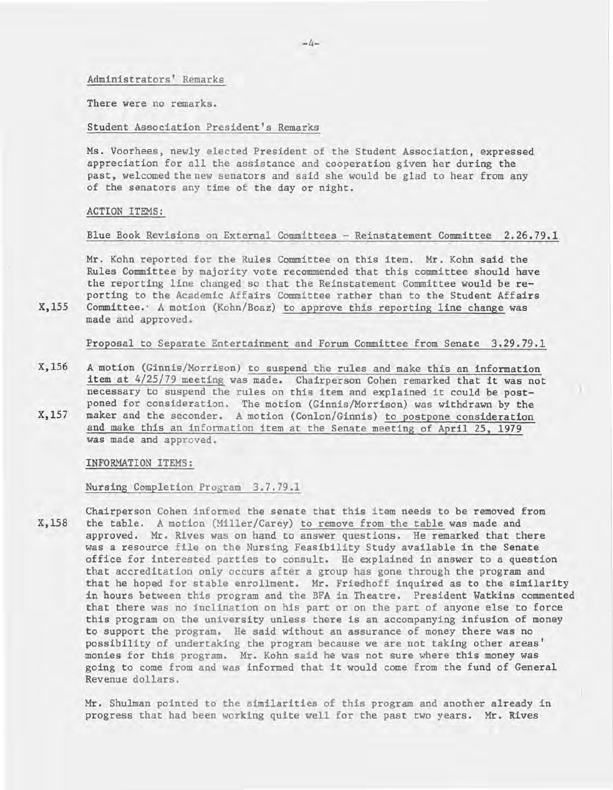Administrators' Remarks

There were no remarks.

Student Association President's Remarks

Ms. Voorhees, newly elected President of the Student Association, expressed appreciation for all the assistance and cooperation given her during the past, welcomed the new senators and said she would be glad to hear from any of the senators any time of the day or night.

ACTION ITEMS:

X,155

Blue Book Revisions on External Committees - Reinstatement Committee 2.26.79.1

Mr. Kohn reported for the Rules Committee on this item. Mr. Kohn said the Rules Committee by majority vote recommended that this committee should have the reporting line changed so that the Reinstatement Committee would be reporting to the Academic Affairs Committee rather than to the Student Affairs Committee. ' A motion (Kohn/Boaz) to approve this reporting line change was made and approved.

Proposal to Separate Entertainment and Forum Committee from Senate 3.29.79.1

X,156 X,157 A motion (Ginnis/Morrison) to suspend the rules and make this an information item at 4/25/79 meeting was made. Chairperson Cohen remarked that it was not necessary to suspend the rules on this item and explained it could be postponed for consideration. The motion (Ginnis/Morrison) was withdrawn by the maker and the seconder. A motion (Conlon/Ginnis) to postpone consideration and make this an information item at the Senate meeting of April 25, 1979 was made and approved.

INFORMATION ITEMS:

Nursing Completion Program 3.7.79.1

X,158 Chairperson Cohen informed the senate that this item needs to be removed from the table . A motion (Miller/Carey) to remove from the table was made and approved. Mr. Rives was on hand to answer questions. He remarked that there was a resource file on the Nursing Feasibility Study available in the Senate office for interested parties to consult. He explained in answer to a question that accreditation only occurs after a group has gone through the program and that he hoped for stable enrollment. Mr. Friedhoff inquired as to the similarity in hours between this program and the BFA in Theatre. President Watkins commented that there was no inclination on his part or on the part of anyone else to force this program on the university unless there is an accompanying infusion of money to support the program. He said without an assurance of money there was no possibility of undertaking the program because we are not taking other areas' monies for this program. Mr. Kohn said he was not sure where this money was going to come from and was informed that it would come from the fund of General Revenue dollars.

Mr. Shulman pointed to the similarities of this program and another already in progress that had been working quite well for the past two years. Mr. Rives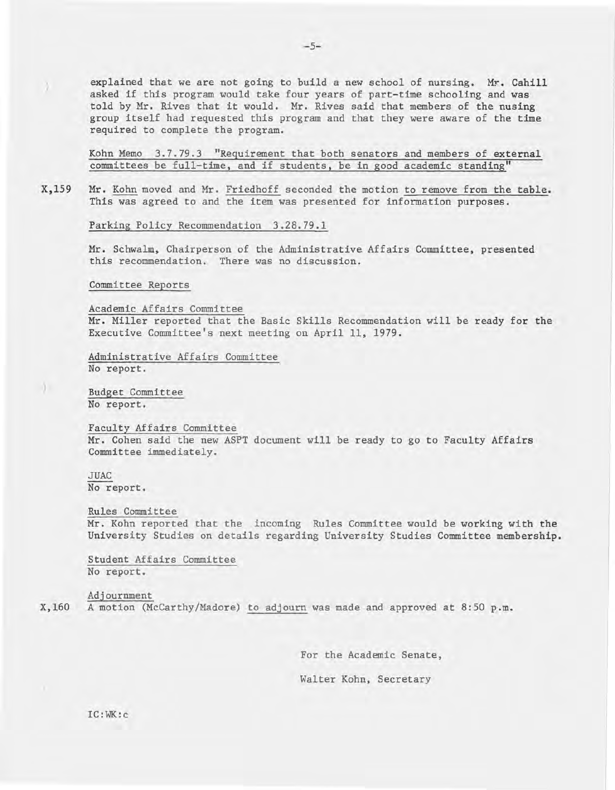explained that we are not going to build a new school of nursing. Mr. Cahill asked if this program would take four years of part-time schooling and was told by Mr. Rives that it would. Mr. Rives said that members of the nusing group itself had requested this program and that they were aware of the time required to complete the program.

Kohn Memo 3.7.79.3 "Requirement that both senators and members of external committees be full-time, and if students, be in good academic standing"

X,159 Mr. Kohn moved and Mr. Friedhoff seconded the motion to remove from the table. This was agreed to and the item was presented for information purposes.

Parking Policy Recommendation 3.28.79.1

Mr. Schwalm, Chairperson of the Administrative Affairs Committee, presented this recommendation. There was no discussion.

Committee Reports

Academic Affairs Committee

Mr. Miller reported that the Basic Skills Recommendation will be ready for the Executive Committee's next meeting on April 11, 1979.

Administrative Affairs Committee No report.

Budget Committee No report.

Faculty Affairs Committee Mr. Cohen said the new ASPT document will be ready to go to Faculty Affairs Committee immediately.

JUAC No report.

0

Rules Committee Mr. Kohn reported that the incoming Rules Committee would be working with the University Studies on details regarding University Studies Committee membership.

Student Affairs Committee No report.

X,160 A motion (McCarthy/Madore) to adjourn was made and approved at 8:50 p.m. Adjournment

For the Academic Senate,

Walter Kohn, Secretary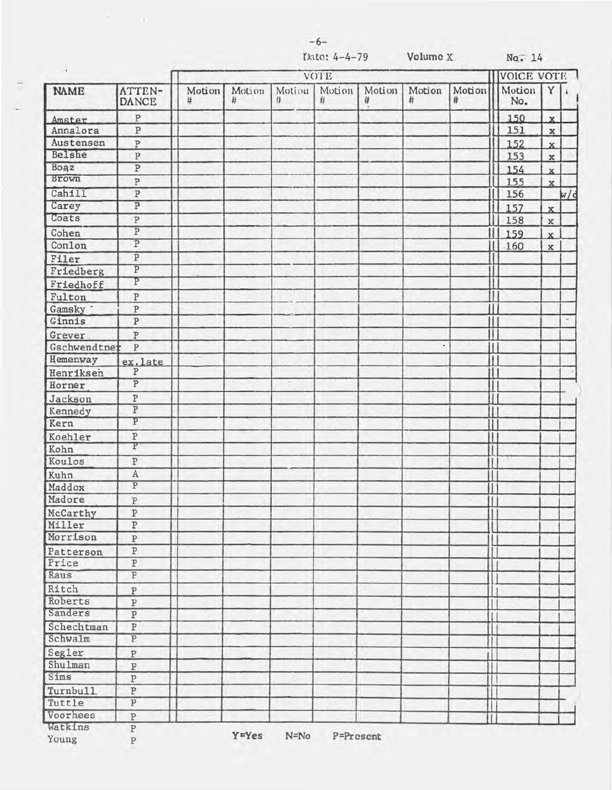$\tau = -\tau$ 

 $No. 14$ 

| ٠            |                         | VOTE        |             |             |             |             |             |             | VOICE VOTE      |                         |     |
|--------------|-------------------------|-------------|-------------|-------------|-------------|-------------|-------------|-------------|-----------------|-------------------------|-----|
| <b>NAME</b>  | ATTEN-<br><b>DANCE</b>  | Motion<br># | Motion<br># | Motion<br># | Motion<br># | Motion<br># | Motion<br># | Motion<br># | Motion  <br>No. | Y                       |     |
| Amster       | $\, {\bf p}$            |             |             |             |             |             |             |             | 150             | $\mathbf{x}$            |     |
| Annalora     | ${\tt P}$               |             |             |             |             |             |             |             | 151             | $\mathbf x$             |     |
| Austensen    | $\, {\bf p}$            |             |             |             |             |             |             |             | 152             | $\mathbf{x}$            |     |
| Belshe       | ${\tt P}$               |             |             |             |             |             |             |             | 153             | $\mathbf x$             |     |
| Boaz         | P                       |             |             |             |             |             |             |             | 154             | $\overline{\mathbf{x}}$ |     |
| Brown        | $\overline{P}$          |             |             |             |             |             |             |             | 155             | $\mathbf{x}$            |     |
| Cahill       | $\overline{P}$          |             |             |             |             |             |             |             | 156             |                         | w/d |
| Carey        | $\overline{P}$          |             |             |             |             |             |             |             | 157             | $\mathbf{x}$            |     |
| Coats        | $\overline{\mathbb{P}}$ |             |             |             |             |             |             |             | 158             | $\mathbf x$             |     |
| Cohen        | $\overline{P}$          |             |             |             |             |             |             |             | 159             | $\mathbf{x}$            |     |
| Conlon       | $\overline{P}$          |             |             |             |             |             |             |             | H<br>.160       | $\mathbf x$             |     |
| Filer        | $\overline{P}$          |             |             |             |             |             |             |             |                 |                         |     |
| Friedberg    | $\overline{P}$          |             |             |             |             |             |             |             |                 |                         |     |
| Friedhoff    | P                       |             |             |             |             |             |             |             | 1               |                         |     |
| Fulton       | $\, {\bf p}$            |             |             |             |             |             |             |             | H               |                         |     |
| Gamsky '     | $\, {\bf p}$            |             |             |             |             |             |             |             | $\mathbf{H}$    |                         |     |
| Ginnis       | $\overline{\text{P}}$   |             |             |             |             |             |             |             | $\mathbf{1}$    |                         |     |
| Grever.      | $\overline{\mathrm{P}}$ |             |             |             |             |             |             |             | Ű               |                         |     |
| Gschwendtner | $\, {\bf P}$            |             |             |             |             |             | ٠           |             | II              |                         |     |
| Hemenway     | ex.late                 |             |             |             |             |             |             |             | $\mathbf{I}$    |                         |     |
| Henriksen    | $\overline{P}$          |             |             |             |             |             |             |             | II              |                         |     |
| Horner       | $\overline{P}$          |             | ÷           |             |             |             |             |             |                 |                         |     |
| Jackson      | ${\bf P}$               |             |             |             |             |             |             |             | I               |                         |     |
| Kennedy      | $\overline{P}$          |             |             |             |             |             |             |             | П               |                         |     |
| Kern         | $\overline{P}$          |             |             |             |             |             |             |             | $\overline{1}$  |                         |     |
| Koehler      | $\, {\bf p}$            |             |             |             |             |             |             |             | T               |                         |     |
| Kohn         | P                       |             |             |             |             |             |             |             | $\mathbf{I}$    |                         |     |
| Koulos       | $\overline{\mathbb{P}}$ |             |             |             |             |             |             |             | I               |                         |     |
| Kuhn         | $\overline{A}$          |             |             |             |             |             |             |             | $\mathbb{I}$    |                         |     |
| Maddox       | $\overline{\mathbf{P}}$ |             |             |             |             |             |             |             | П               |                         |     |
| Madore       | ${\bf P}$               |             |             |             |             |             |             |             | П               |                         |     |
| McCarthy     | $\overline{\mathbf{P}}$ |             |             |             |             |             |             |             | $\mathbf{1}$    |                         |     |
| Miller       | $\overline{\text{P}}$   |             |             |             |             |             |             |             |                 |                         |     |
| Morrison     | $\, {\bf p}$            |             |             |             |             |             |             |             |                 |                         |     |
| Patterson    | $\, {\bf p}$            |             |             |             |             |             |             |             |                 |                         |     |
| Price        | $\overline{\mathbb{P}}$ |             |             |             |             |             |             |             |                 |                         |     |
| Raus         | $\overline{\mathbf{P}}$ |             |             |             |             |             |             |             |                 |                         |     |
| Ritch        | $\, {\bf P}$            |             |             |             |             |             |             |             |                 |                         |     |
| Roberts      | $\, {\bf p}$            |             |             |             |             |             |             |             |                 |                         |     |
| Sanders      | $\overline{\mathbb{P}}$ |             |             |             |             |             |             |             | I               |                         |     |
| Schechtman   | $\, {\bf P}$            |             |             |             |             |             |             |             | $\mathbf{I}$    |                         |     |
| Schwalm      | $\overline{P}$          |             |             |             |             |             |             |             |                 |                         |     |
| Segler       | ${\bf P}$               |             |             |             |             |             |             |             |                 |                         |     |
| Shulman      | $\, {\bf P}$            |             |             |             |             |             |             |             | Ť               |                         |     |
| Sims         | $\, {\bf p}$            |             |             |             |             |             |             |             | $\mathbf{L}$    |                         |     |
| Turnbull.    | $\, {\bf p}$            |             |             |             |             |             |             |             |                 |                         |     |
| Tuttle       | $\overline{P}$          |             |             |             |             |             |             |             |                 |                         |     |
| Voorhees     | $\, {\bf p}$            |             |             |             |             |             |             |             |                 |                         |     |
| Watkins      | $\, {\bf P}$            |             |             |             |             |             |             |             |                 |                         |     |